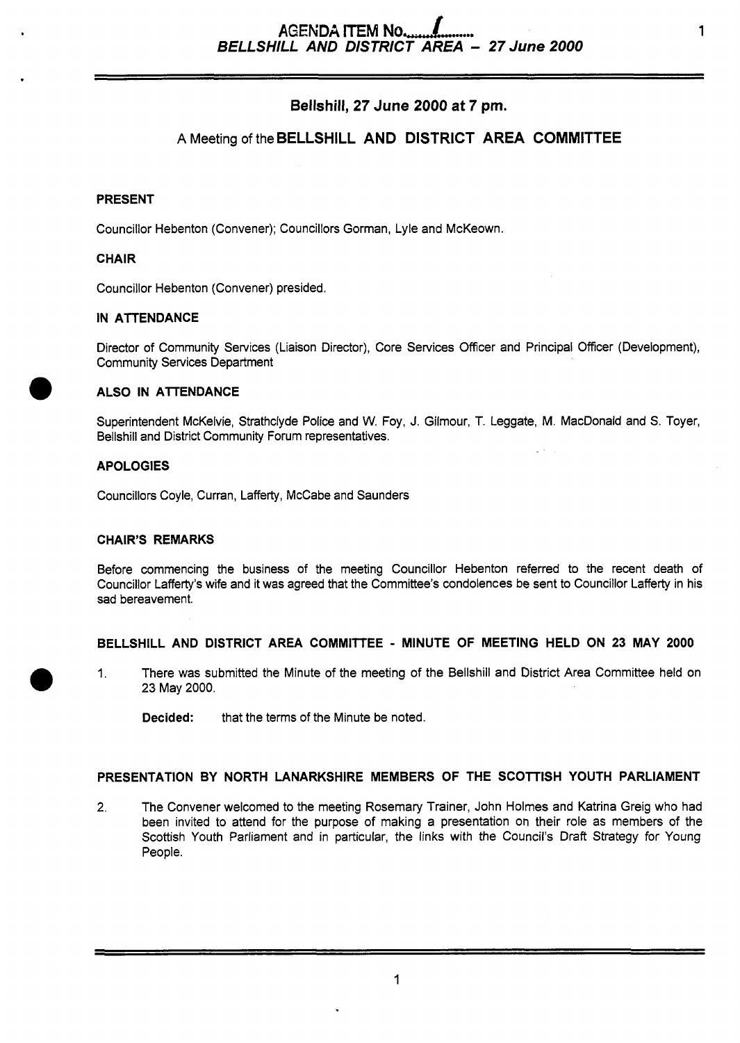# **Bellshill, 27 June** *2000 at* **7 pm.**

# **A** Meeting of the **BELLSHILL AND DISTRICT AREA COMMITTEE**

## **PRESENT**

Councillor Hebenton (Convener); Councillors Gorman, Lyle and McKeown.

## **CHAIR**

Councillor Hebenton (Convener) presided.

## **IN ATTENDANCE**

Director of Community Services (Liaison Director), Core Services Officer and Principal Officer (Development), Community Services Department

## **ALSO IN ATTENDANCE**

Superintendent McKelvie, Strathclyde Police and W. Foy, J. Gilrnour, T. Leggate, M. MacDonald and **S.** Toyer, Bellshill and District Community Forum representatives.

## **APOLOGIES**

Councillors Coyle, Curran, Lafferty, McCabe and Saunders

### **CHAIR'S REMARKS**

Before commencing the business of the meeting Councillor Hebenton referred to the recent death of Councillor Lafferty's wife and it was agreed that the Committee's condolences be sent to Councillor Lafferty in his sad bereavement.

### **BELLSHILL AND DISTRICT AREA COMMllTEE** - **MINUTE OF MEETING HELD ON 23 MAY 2000**

1. There was submitted the Minute of the meeting of the Bellshill and District Area Committee held on *0* 23 May 2000.

**Decided:** that the terms of the Minute be noted.

### **PRESENTATION BY NORTH LANARKSHIRE MEMBERS OF THE SCOTTISH YOUTH PARLIAMENT**

2. The Convener welcomed to the meeting Rosemary Trainer, John Holmes and Katrina Greig who had been invited to attend for the purpose of making a presentation on their role as members of the Scottish Youth Parliament and in particular, the links with the Council's Draft Strategy for Young People.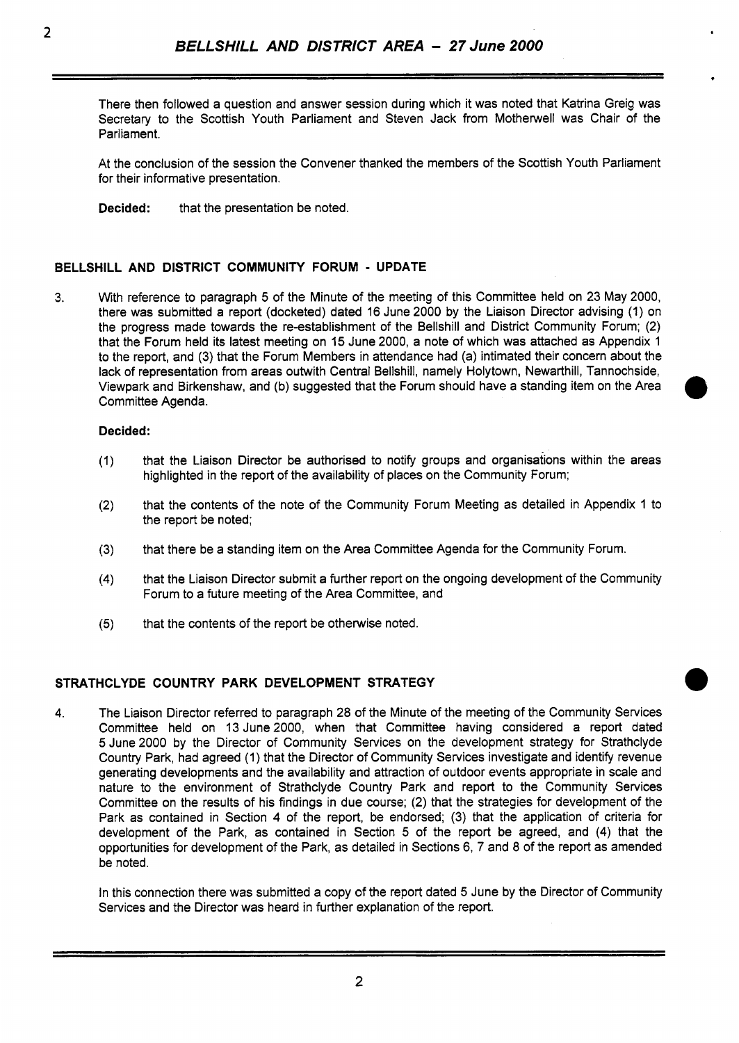There then followed a question and answer session during which it was noted that Katrina Greig was Secretary to the Scottish Youth Parliament and Steven Jack from Motherwell was Chair of the Parliament.

At the conclusion of the session the Convener thanked the members of the Scottish Youth Parliament for their informative presentation.

**Decided:** that the presentation be noted.

## **BELLSHILL AND DISTRICT COMMUNITY FORUM** - **UPDATE**

**3.** With reference to paragraph 5 of the Minute of the meeting of this Committee held on 23 May 2000, there was submitted a report (docketed) dated 16 June 2000 by the Liaison Director advising (1) on the progress made towards the re-establishment of the Bellshill and District community Forum; (2) that the Forum held its latest meeting on 15 June 2000, a note of which was attached as Appendix 1 to the report, and (3) that the Forum Members in attendance had (a) intimated their concern about the lack of representation from areas outwith Central Bellshill, namely Holytown, Newarthill, Tannochside, Viewpark and Birkenshaw, and (b) suggested that the Forum should have a standing item on the Area committee Agenda.

### **Decided:**

- (1) that the Liaison Director be authorised to notify groups and organisations within the areas highlighted in the report of the availability of places on the Community Forum;
- **(2)** that the contents of the note of the Community Forum Meeting as detailed in Appendix 1 to the report be noted;
- (3) that there be a standing item on the Area Committee Agenda for the Community Forum.
- **(4)** that the Liaison Director submit a further report on the ongoing development of the Community Forum to a future meeting of the Area Committee, and
- **(5)** that the contents of the report be otherwise noted.

## **STRATHCLYDE COUNTRY PARK DEVELOPMENT STRATEGY**

**4.** The Liaison Director referred to paragraph 28 of the Minute of the meeting of the Community Services Committee held on 13 June 2000, when that Committee having considered a report dated 5 June 2000 by the Director of Community Services on the development strategy for Strathclyde Country Park, had agreed (1) that the Director of Community Services investigate and identify revenue generating developments and the availability and attraction of outdoor events appropriate in scale and nature to the environment of Strathclyde Country Park and report to the Community Services Committee on the results of his findings in due course; (2) that the strategies for development of the Park as contained in Section **4** of the report, be endorsed; (3) that the application of criteria for development of the Park, as contained in Section 5 of the report be agreed, and **(4)** that the opportunities for development of the Park, as detailed in Sections 6, 7 and 8 of the report as amended be noted.

In this connection there was submitted a copy of the report dated 5 June by the Director of Community Services and the Director was heard in further explanation of the report.